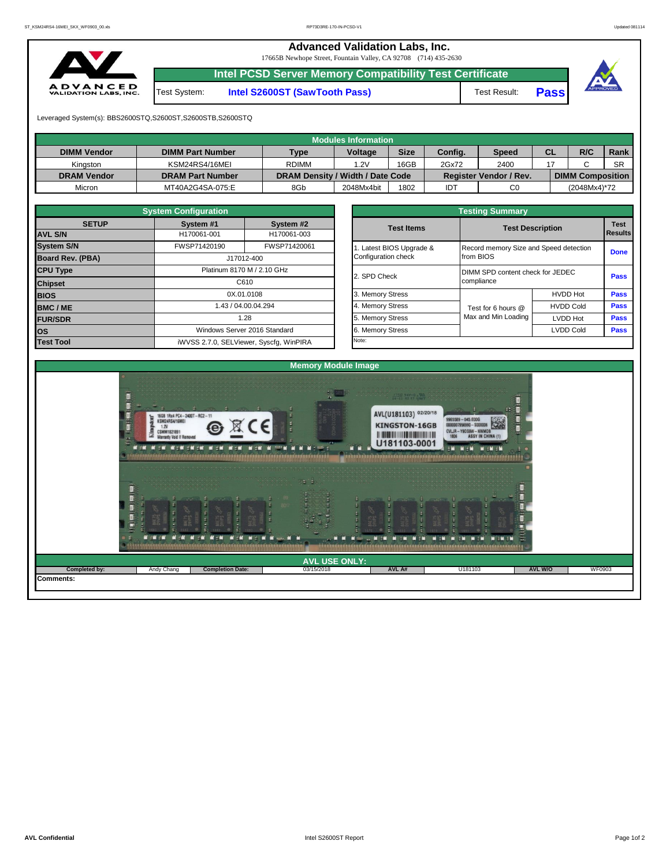**Advanced Validation Labs, Inc.** 

17665B Newhope Street, Fountain Valley, CA 92708 (714) 435-2630



**Intel PCSD Server Memory Compatibility Test Certificate**

Test System: **Intel S2600ST (SawTooth Pass)** Test Result: **Pass**





Leveraged System(s): BBS2600STQ,S2600ST,S2600STB,S2600STQ

|                    |                         |                                  | <b>Modules Information</b> |             |         |                               |           |                         |           |
|--------------------|-------------------------|----------------------------------|----------------------------|-------------|---------|-------------------------------|-----------|-------------------------|-----------|
| <b>DIMM Vendor</b> | <b>DIMM Part Number</b> | <b>Type</b>                      | <b>Voltage</b>             | <b>Size</b> | Config. | <b>Speed</b>                  | <b>CL</b> | R/C                     | Rank      |
| Kinaston           | KSM24RS4/16MEI          | <b>RDIMM</b>                     | 1.2V                       | 16GB        | 2Gx72   | 2400                          |           |                         | <b>SR</b> |
| <b>DRAM Vendor</b> | <b>DRAM Part Number</b> | DRAM Density / Width / Date Code |                            |             |         | <b>Register Vendor / Rev.</b> |           | <b>DIMM Composition</b> |           |
| Micron             | MT40A2G4SA-075:E        | 8Gb                              | 2048Mx4bit                 | 1802        | IDT     | C <sub>0</sub>                |           | (2048Mx4)*72            |           |

|                                               | <b>System Configuration</b> |                                         |                                  |                     |                                        |             |  |  |  |
|-----------------------------------------------|-----------------------------|-----------------------------------------|----------------------------------|---------------------|----------------------------------------|-------------|--|--|--|
| <b>SETUP</b>                                  | System #1                   | System #2                               | <b>Test Items</b>                |                     | <b>Test Description</b>                | <b>Test</b> |  |  |  |
| <b>AVL S/N</b>                                | H170061-001                 | H170061-003                             |                                  |                     |                                        |             |  |  |  |
| <b>System S/N</b>                             | FWSP71420190                | FWSP71420061                            | 1. Latest BIOS Upgrade &         |                     | Record memory Size and Speed detection |             |  |  |  |
| <b>Board Rev. (PBA)</b>                       |                             | J17012-400                              | Configuration check              | from BIOS           |                                        |             |  |  |  |
| <b>CPU Type</b><br>Platinum 8170 M / 2.10 GHz |                             | 2. SPD Check                            | DIMM SPD content check for JEDEC |                     | <b>Pass</b>                            |             |  |  |  |
| C610<br><b>Chipset</b>                        |                             |                                         |                                  | compliance          |                                        |             |  |  |  |
| <b>BIOS</b>                                   |                             | 0X.01.0108                              | 3. Memory Stress                 |                     | <b>HVDD Hot</b>                        | <b>Pass</b> |  |  |  |
| <b>BMC/ME</b>                                 |                             | 1.43 / 04.00.04.294                     | 4. Memory Stress                 | Test for 6 hours @  | <b>HVDD Cold</b>                       | <b>Pass</b> |  |  |  |
| <b>FUR/SDR</b>                                |                             | 1.28                                    | 5. Memory Stress                 | Max and Min Loading | <b>LVDD Hot</b>                        | <b>Pass</b> |  |  |  |
| los                                           |                             | Windows Server 2016 Standard            | 6. Memory Stress                 |                     | <b>LVDD Cold</b>                       | <b>Pass</b> |  |  |  |
| <b>Test Tool</b>                              |                             | iWVSS 2.7.0, SELViewer, Syscfq, WinPIRA | Note:                            |                     |                                        |             |  |  |  |

|              | <b>System Configuration</b> |                                    |                       | <b>Testing Summary</b> |                                                |             |  |  |  |  |  |
|--------------|-----------------------------|------------------------------------|-----------------------|------------------------|------------------------------------------------|-------------|--|--|--|--|--|
| <b>SETUP</b> | System #1                   | System #2                          | <b>Test Items</b>     |                        |                                                |             |  |  |  |  |  |
|              | H170061-001                 | H170061-003                        |                       |                        | <b>Test Description</b><br><b>Results</b>      |             |  |  |  |  |  |
|              | FWSP71420190                | FWSP71420061                       | Latest BIOS Upgrade & |                        | Record memory Size and Speed detection         |             |  |  |  |  |  |
| PBA)         |                             | J17012-400                         | Configuration check   | from BIOS              |                                                |             |  |  |  |  |  |
|              |                             | Platinum 8170 M / 2.10 GHz         |                       |                        | DIMM SPD content check for JEDEC<br>compliance |             |  |  |  |  |  |
|              |                             | C610                               | 2. SPD Check          |                        |                                                |             |  |  |  |  |  |
|              |                             | 0X.01.0108                         |                       |                        | <b>HVDD Hot</b>                                | Pass        |  |  |  |  |  |
|              |                             | 1.43 / 04.00.04.294                | 4. Memory Stress      | Test for 6 hours @     | <b>HVDD Cold</b>                               | Pass        |  |  |  |  |  |
|              |                             | 1.28                               | 5. Memory Stress      | Max and Min Loading    | LVDD Hot                                       |             |  |  |  |  |  |
|              |                             | Windows Server 2016 Standard       |                       |                        | <b>LVDD Cold</b>                               | <b>Pass</b> |  |  |  |  |  |
|              |                             | iMVSS 270 SELViewer Svecta WinPIRA | Note:                 |                        |                                                |             |  |  |  |  |  |